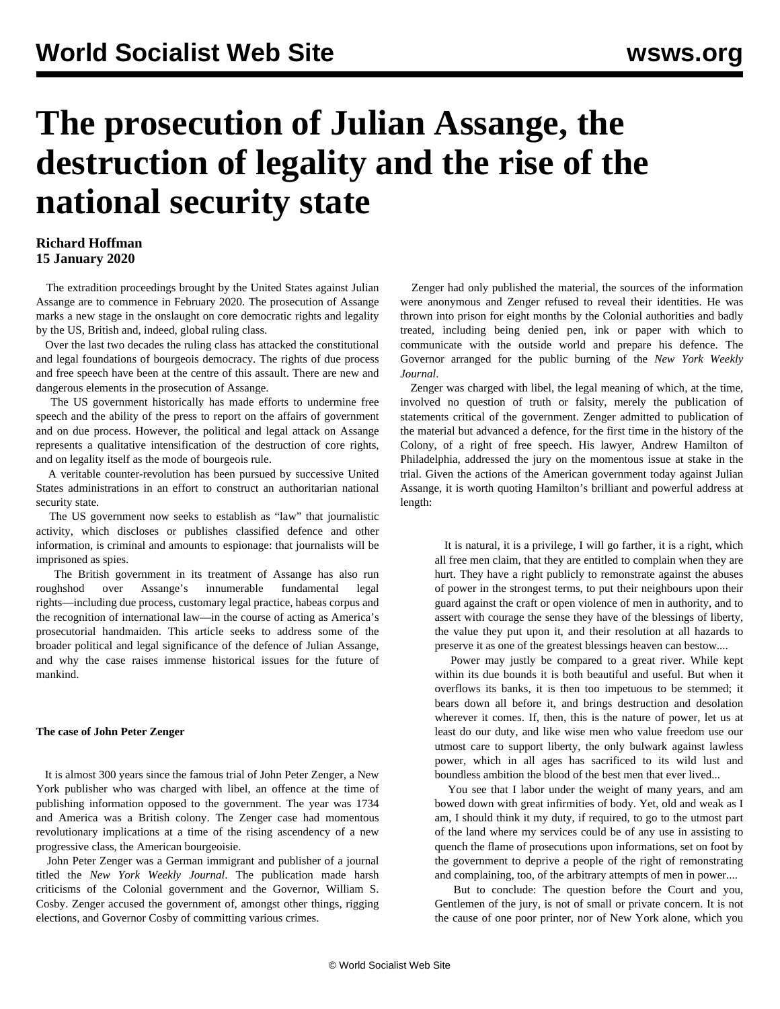# **The prosecution of Julian Assange, the destruction of legality and the rise of the national security state**

# **Richard Hoffman 15 January 2020**

 The extradition proceedings brought by the United States against Julian Assange are to commence in February 2020. The prosecution of Assange marks a new stage in the onslaught on core democratic rights and legality by the US, British and, indeed, global ruling class.

 Over the last two decades the ruling class has attacked the constitutional and legal foundations of bourgeois democracy. The rights of due process and free speech have been at the centre of this assault. There are new and dangerous elements in the prosecution of Assange.

 The US government historically has made efforts to undermine free speech and the ability of the press to report on the affairs of government and on due process. However, the political and legal attack on Assange represents a qualitative intensification of the destruction of core rights, and on legality itself as the mode of bourgeois rule.

 A veritable counter-revolution has been pursued by successive United States administrations in an effort to construct an authoritarian national security state.

 The US government now seeks to establish as "law" that journalistic activity, which discloses or publishes classified defence and other information, is criminal and amounts to espionage: that journalists will be imprisoned as spies.

 The British government in its treatment of Assange has also run roughshod over Assange's innumerable fundamental legal rights—including due process, customary legal practice, habeas corpus and the recognition of international law—in the course of acting as America's prosecutorial handmaiden. This article seeks to address some of the broader political and legal significance of the defence of Julian Assange, and why the case raises immense historical issues for the future of mankind.

# **The case of John Peter Zenger**

 It is almost 300 years since the famous trial of John Peter Zenger, a New York publisher who was charged with libel, an offence at the time of publishing information opposed to the government. The year was 1734 and America was a British colony. The Zenger case had momentous revolutionary implications at a time of the rising ascendency of a new progressive class, the American bourgeoisie.

 John Peter Zenger was a German immigrant and publisher of a journal titled the *New York Weekly Journal*. The publication made harsh criticisms of the Colonial government and the Governor, William S. Cosby. Zenger accused the government of, amongst other things, rigging elections, and Governor Cosby of committing various crimes.

 Zenger had only published the material, the sources of the information were anonymous and Zenger refused to reveal their identities. He was thrown into prison for eight months by the Colonial authorities and badly treated, including being denied pen, ink or paper with which to communicate with the outside world and prepare his defence. The Governor arranged for the public burning of the *New York Weekly Journal*.

 Zenger was charged with libel, the legal meaning of which, at the time, involved no question of truth or falsity, merely the publication of statements critical of the government. Zenger admitted to publication of the material but advanced a defence, for the first time in the history of the Colony, of a right of free speech. His lawyer, Andrew Hamilton of Philadelphia, addressed the jury on the momentous issue at stake in the trial. Given the actions of the American government today against Julian Assange, it is worth quoting Hamilton's brilliant and powerful address at length:

 It is natural, it is a privilege, I will go farther, it is a right, which all free men claim, that they are entitled to complain when they are hurt. They have a right publicly to remonstrate against the abuses of power in the strongest terms, to put their neighbours upon their guard against the craft or open violence of men in authority, and to assert with courage the sense they have of the blessings of liberty, the value they put upon it, and their resolution at all hazards to preserve it as one of the greatest blessings heaven can bestow....

 Power may justly be compared to a great river. While kept within its due bounds it is both beautiful and useful. But when it overflows its banks, it is then too impetuous to be stemmed; it bears down all before it, and brings destruction and desolation wherever it comes. If, then, this is the nature of power, let us at least do our duty, and like wise men who value freedom use our utmost care to support liberty, the only bulwark against lawless power, which in all ages has sacrificed to its wild lust and boundless ambition the blood of the best men that ever lived...

 You see that I labor under the weight of many years, and am bowed down with great infirmities of body. Yet, old and weak as I am, I should think it my duty, if required, to go to the utmost part of the land where my services could be of any use in assisting to quench the flame of prosecutions upon informations, set on foot by the government to deprive a people of the right of remonstrating and complaining, too, of the arbitrary attempts of men in power....

 But to conclude: The question before the Court and you, Gentlemen of the jury, is not of small or private concern. It is not the cause of one poor printer, nor of New York alone, which you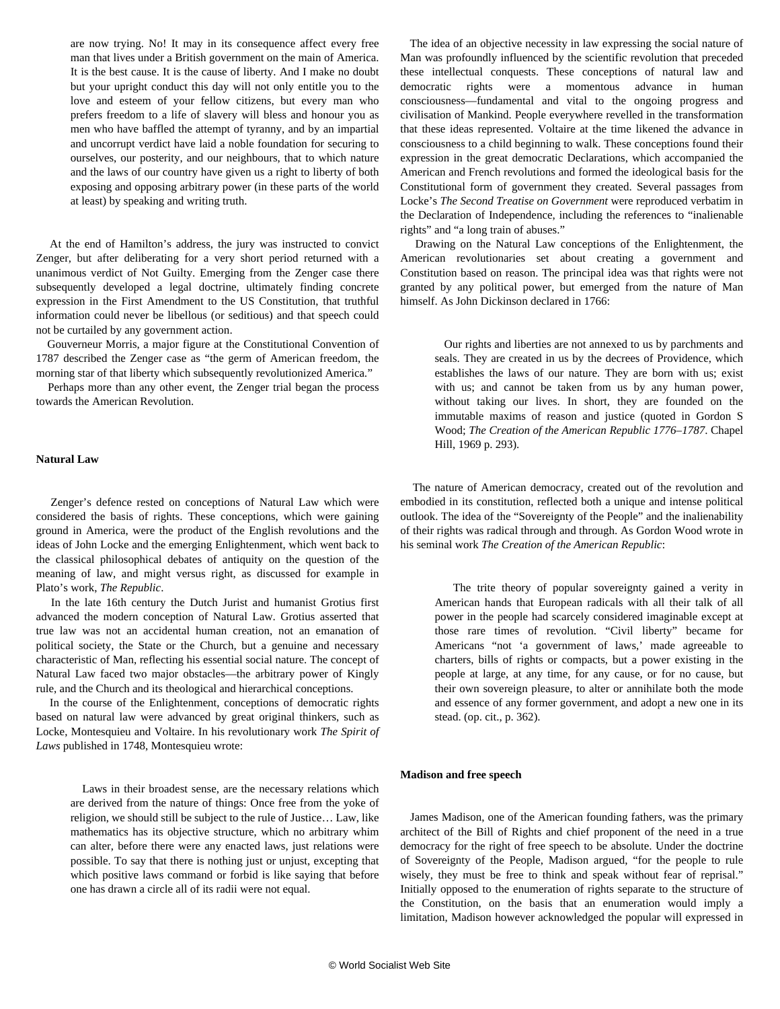are now trying. No! It may in its consequence affect every free man that lives under a British government on the main of America. It is the best cause. It is the cause of liberty. And I make no doubt but your upright conduct this day will not only entitle you to the love and esteem of your fellow citizens, but every man who prefers freedom to a life of slavery will bless and honour you as men who have baffled the attempt of tyranny, and by an impartial and uncorrupt verdict have laid a noble foundation for securing to ourselves, our posterity, and our neighbours, that to which nature and the laws of our country have given us a right to liberty of both exposing and opposing arbitrary power (in these parts of the world at least) by speaking and writing truth.

 At the end of Hamilton's address, the jury was instructed to convict Zenger, but after deliberating for a very short period returned with a unanimous verdict of Not Guilty. Emerging from the Zenger case there subsequently developed a legal doctrine, ultimately finding concrete expression in the First Amendment to the US Constitution, that truthful information could never be libellous (or seditious) and that speech could not be curtailed by any government action.

 Gouverneur Morris, a major figure at the Constitutional Convention of 1787 described the Zenger case as "the germ of American freedom, the morning star of that liberty which subsequently revolutionized America*.*"

 Perhaps more than any other event, the Zenger trial began the process towards the American Revolution.

# **Natural Law**

 Zenger's defence rested on conceptions of Natural Law which were considered the basis of rights. These conceptions, which were gaining ground in America, were the product of the English revolutions and the ideas of John Locke and the emerging Enlightenment, which went back to the classical philosophical debates of antiquity on the question of the meaning of law, and might versus right, as discussed for example in Plato's work, *The Republic*.

 In the late 16th century the Dutch Jurist and humanist Grotius first advanced the modern conception of Natural Law. Grotius asserted that true law was not an accidental human creation, not an emanation of political society, the State or the Church, but a genuine and necessary characteristic of Man, reflecting his essential social nature. The concept of Natural Law faced two major obstacles—the arbitrary power of Kingly rule, and the Church and its theological and hierarchical conceptions.

 In the course of the Enlightenment, conceptions of democratic rights based on natural law were advanced by great original thinkers, such as Locke, Montesquieu and Voltaire. In his revolutionary work *The Spirit of Laws* published in 1748, Montesquieu wrote:

 Laws in their broadest sense, are the necessary relations which are derived from the nature of things: Once free from the yoke of religion, we should still be subject to the rule of Justice… Law, like mathematics has its objective structure, which no arbitrary whim can alter, before there were any enacted laws, just relations were possible. To say that there is nothing just or unjust, excepting that which positive laws command or forbid is like saying that before one has drawn a circle all of its radii were not equal.

 The idea of an objective necessity in law expressing the social nature of Man was profoundly influenced by the scientific revolution that preceded these intellectual conquests. These conceptions of natural law and democratic rights were a momentous advance in human consciousness—fundamental and vital to the ongoing progress and civilisation of Mankind. People everywhere revelled in the transformation that these ideas represented. Voltaire at the time likened the advance in consciousness to a child beginning to walk. These conceptions found their expression in the great democratic Declarations, which accompanied the American and French revolutions and formed the ideological basis for the Constitutional form of government they created. Several passages from Locke's *The Second Treatise on Government* were reproduced verbatim in the Declaration of Independence, including the references to "inalienable rights" and "a long train of abuses."

 Drawing on the Natural Law conceptions of the Enlightenment, the American revolutionaries set about creating a government and Constitution based on reason. The principal idea was that rights were not granted by any political power, but emerged from the nature of Man himself. As John Dickinson declared in 1766:

 Our rights and liberties are not annexed to us by parchments and seals. They are created in us by the decrees of Providence, which establishes the laws of our nature. They are born with us; exist with us; and cannot be taken from us by any human power, without taking our lives. In short, they are founded on the immutable maxims of reason and justice (quoted in Gordon S Wood; *The Creation of the American Republic 1776–1787*. Chapel Hill, 1969 p. 293).

 The nature of American democracy, created out of the revolution and embodied in its constitution, reflected both a unique and intense political outlook. The idea of the "Sovereignty of the People" and the inalienability of their rights was radical through and through. As Gordon Wood wrote in his seminal work *The Creation of the American Republic*:

 The trite theory of popular sovereignty gained a verity in American hands that European radicals with all their talk of all power in the people had scarcely considered imaginable except at those rare times of revolution. "Civil liberty" became for Americans "not 'a government of laws,' made agreeable to charters, bills of rights or compacts, but a power existing in the people at large, at any time, for any cause, or for no cause, but their own sovereign pleasure, to alter or annihilate both the mode and essence of any former government, and adopt a new one in its stead. (op. cit., p. 362).

## **Madison and free speech**

 James Madison, one of the American founding fathers, was the primary architect of the Bill of Rights and chief proponent of the need in a true democracy for the right of free speech to be absolute. Under the doctrine of Sovereignty of the People, Madison argued, "for the people to rule wisely, they must be free to think and speak without fear of reprisal." Initially opposed to the enumeration of rights separate to the structure of the Constitution, on the basis that an enumeration would imply a limitation, Madison however acknowledged the popular will expressed in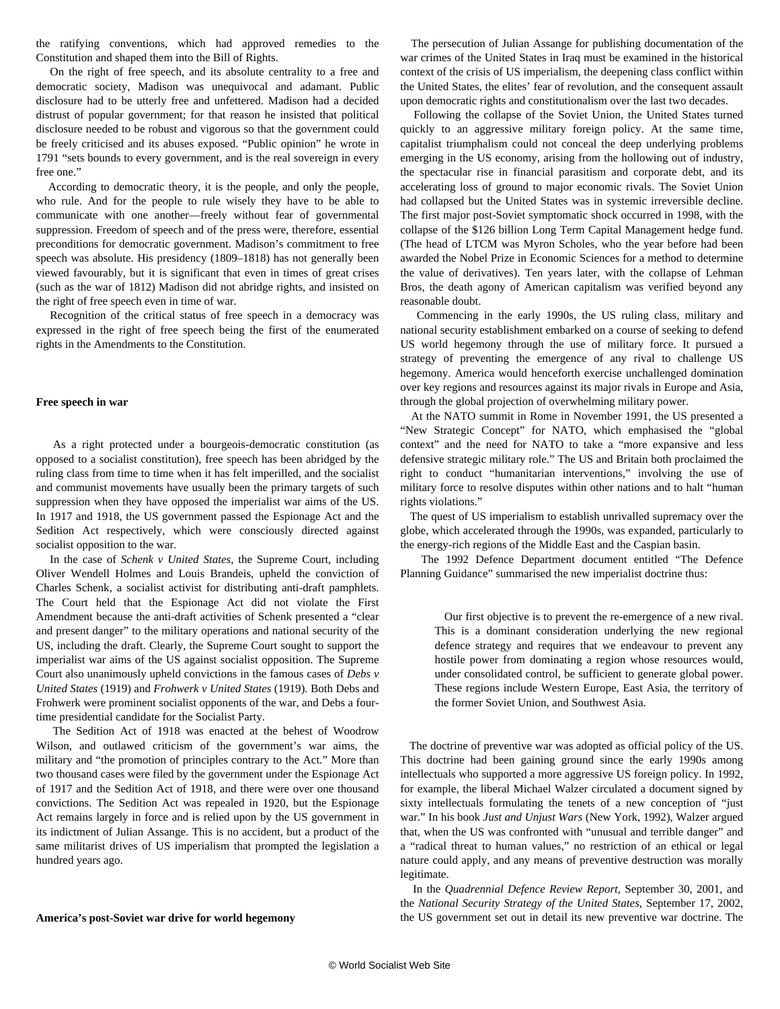the ratifying conventions, which had approved remedies to the Constitution and shaped them into the Bill of Rights.

 On the right of free speech, and its absolute centrality to a free and democratic society, Madison was unequivocal and adamant. Public disclosure had to be utterly free and unfettered. Madison had a decided distrust of popular government; for that reason he insisted that political disclosure needed to be robust and vigorous so that the government could be freely criticised and its abuses exposed. "Public opinion" he wrote in 1791 "sets bounds to every government, and is the real sovereign in every free one."

 According to democratic theory, it is the people, and only the people, who rule. And for the people to rule wisely they have to be able to communicate with one another—freely without fear of governmental suppression. Freedom of speech and of the press were, therefore, essential preconditions for democratic government. Madison's commitment to free speech was absolute. His presidency (1809–1818) has not generally been viewed favourably, but it is significant that even in times of great crises (such as the war of 1812) Madison did not abridge rights, and insisted on the right of free speech even in time of war.

 Recognition of the critical status of free speech in a democracy was expressed in the right of free speech being the first of the enumerated rights in the Amendments to the Constitution.

#### **Free speech in war**

 As a right protected under a bourgeois-democratic constitution (as opposed to a socialist constitution), free speech has been abridged by the ruling class from time to time when it has felt imperilled, and the socialist and communist movements have usually been the primary targets of such suppression when they have opposed the imperialist war aims of the US. In 1917 and 1918, the US government passed the Espionage Act and the Sedition Act respectively, which were consciously directed against socialist opposition to the war.

 In the case of *Schenk v United States*, the Supreme Court, including Oliver Wendell Holmes and Louis Brandeis, upheld the conviction of Charles Schenk, a socialist activist for distributing anti-draft pamphlets. The Court held that the Espionage Act did not violate the First Amendment because the anti-draft activities of Schenk presented a "clear and present danger" to the military operations and national security of the US, including the draft. Clearly, the Supreme Court sought to support the imperialist war aims of the US against socialist opposition. The Supreme Court also unanimously upheld convictions in the famous cases of *Debs v United States* (1919) and *Frohwerk v United States* (1919). Both Debs and Frohwerk were prominent socialist opponents of the war, and Debs a fourtime presidential candidate for the Socialist Party.

 The Sedition Act of 1918 was enacted at the behest of Woodrow Wilson, and outlawed criticism of the government's war aims, the military and "the promotion of principles contrary to the Act." More than two thousand cases were filed by the government under the Espionage Act of 1917 and the Sedition Act of 1918, and there were over one thousand convictions. The Sedition Act was repealed in 1920, but the Espionage Act remains largely in force and is relied upon by the US government in its indictment of Julian Assange. This is no accident, but a product of the same militarist drives of US imperialism that prompted the legislation a hundred years ago.

#### **America's post-Soviet war drive for world hegemony**

 The persecution of Julian Assange for publishing documentation of the war crimes of the United States in Iraq must be examined in the historical context of the crisis of US imperialism, the deepening class conflict within the United States, the elites' fear of revolution, and the consequent assault upon democratic rights and constitutionalism over the last two decades.

 Following the collapse of the Soviet Union, the United States turned quickly to an aggressive military foreign policy. At the same time, capitalist triumphalism could not conceal the deep underlying problems emerging in the US economy, arising from the hollowing out of industry, the spectacular rise in financial parasitism and corporate debt, and its accelerating loss of ground to major economic rivals. The Soviet Union had collapsed but the United States was in systemic irreversible decline. The first major post-Soviet symptomatic shock occurred in 1998, with the collapse of the \$126 billion Long Term Capital Management hedge fund. (The head of LTCM was Myron Scholes, who the year before had been awarded the Nobel Prize in Economic Sciences for a method to determine the value of derivatives). Ten years later, with the collapse of Lehman Bros, the death agony of American capitalism was verified beyond any reasonable doubt.

 Commencing in the early 1990s, the US ruling class, military and national security establishment embarked on a course of seeking to defend US world hegemony through the use of military force. It pursued a strategy of preventing the emergence of any rival to challenge US hegemony. America would henceforth exercise unchallenged domination over key regions and resources against its major rivals in Europe and Asia, through the global projection of overwhelming military power.

 At the NATO summit in Rome in November 1991, the US presented a "New Strategic Concept" for NATO, which emphasised the "global context" and the need for NATO to take a "more expansive and less defensive strategic military role." The US and Britain both proclaimed the right to conduct "humanitarian interventions," involving the use of military force to resolve disputes within other nations and to halt "human rights violations."

 The quest of US imperialism to establish unrivalled supremacy over the globe, which accelerated through the 1990s, was expanded, particularly to the energy-rich regions of the Middle East and the Caspian basin.

 The 1992 Defence Department document entitled "The Defence Planning Guidance" summarised the new imperialist doctrine thus:

 Our first objective is to prevent the re-emergence of a new rival. This is a dominant consideration underlying the new regional defence strategy and requires that we endeavour to prevent any hostile power from dominating a region whose resources would, under consolidated control, be sufficient to generate global power. These regions include Western Europe, East Asia, the territory of the former Soviet Union, and Southwest Asia.

 The doctrine of preventive war was adopted as official policy of the US. This doctrine had been gaining ground since the early 1990s among intellectuals who supported a more aggressive US foreign policy. In 1992, for example, the liberal Michael Walzer circulated a document signed by sixty intellectuals formulating the tenets of a new conception of "just war." In his book *Just and Unjust Wars* (New York, 1992), Walzer argued that, when the US was confronted with "unusual and terrible danger" and a "radical threat to human values," no restriction of an ethical or legal nature could apply, and any means of preventive destruction was morally legitimate.

 In the *Quadrennial Defence Review Report*, September 30, 2001, and the *National Security Strategy of the United States*, September 17, 2002, the US government set out in detail its new preventive war doctrine. The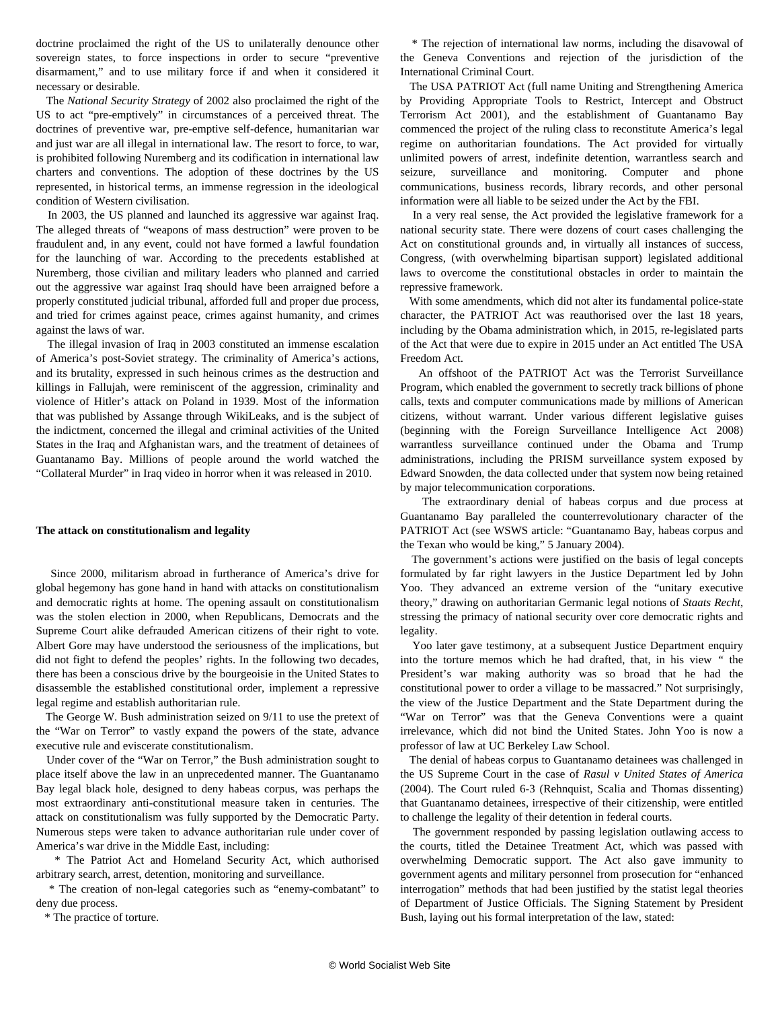doctrine proclaimed the right of the US to unilaterally denounce other sovereign states, to force inspections in order to secure "preventive disarmament," and to use military force if and when it considered it necessary or desirable.

 The *National Security Strategy* of 2002 also proclaimed the right of the US to act "pre-emptively" in circumstances of a perceived threat. The doctrines of preventive war, pre-emptive self-defence, humanitarian war and just war are all illegal in international law. The resort to force, to war, is prohibited following Nuremberg and its codification in international law charters and conventions. The adoption of these doctrines by the US represented, in historical terms, an immense regression in the ideological condition of Western civilisation.

 In 2003, the US planned and launched its aggressive war against Iraq. The alleged threats of "weapons of mass destruction" were proven to be fraudulent and, in any event, could not have formed a lawful foundation for the launching of war. According to the precedents established at Nuremberg, those civilian and military leaders who planned and carried out the aggressive war against Iraq should have been arraigned before a properly constituted judicial tribunal, afforded full and proper due process, and tried for crimes against peace, crimes against humanity, and crimes against the laws of war.

 The illegal invasion of Iraq in 2003 constituted an immense escalation of America's post-Soviet strategy. The criminality of America's actions, and its brutality, expressed in such heinous crimes as the destruction and killings in Fallujah, were reminiscent of the aggression, criminality and violence of Hitler's attack on Poland in 1939. Most of the information that was published by Assange through WikiLeaks, and is the subject of the indictment, concerned the illegal and criminal activities of the United States in the Iraq and Afghanistan wars, and the treatment of detainees of Guantanamo Bay. Millions of people around the world watched the "Collateral Murder" in Iraq video in horror when it was released in 2010.

# **The attack on constitutionalism and legality**

 Since 2000, militarism abroad in furtherance of America's drive for global hegemony has gone hand in hand with attacks on constitutionalism and democratic rights at home. The opening assault on constitutionalism was the stolen election in 2000, when Republicans, Democrats and the Supreme Court alike defrauded American citizens of their right to vote. Albert Gore may have understood the seriousness of the implications, but did not fight to defend the peoples' rights. In the following two decades, there has been a conscious drive by the bourgeoisie in the United States to disassemble the established constitutional order, implement a repressive legal regime and establish authoritarian rule.

 The George W. Bush administration seized on 9/11 to use the pretext of the "War on Terror" to vastly expand the powers of the state, advance executive rule and eviscerate constitutionalism.

 Under cover of the "War on Terror," the Bush administration sought to place itself above the law in an unprecedented manner. The Guantanamo Bay legal black hole, designed to deny habeas corpus, was perhaps the most extraordinary anti-constitutional measure taken in centuries. The attack on constitutionalism was fully supported by the Democratic Party. Numerous steps were taken to advance authoritarian rule under cover of America's war drive in the Middle East, including:

 \* The Patriot Act and Homeland Security Act, which authorised arbitrary search, arrest, detention, monitoring and surveillance.

 \* The creation of non-legal categories such as "enemy-combatant" to deny due process.

\* The practice of torture.

 \* The rejection of international law norms, including the disavowal of the Geneva Conventions and rejection of the jurisdiction of the International Criminal Court.

 The USA PATRIOT Act (full name Uniting and Strengthening America by Providing Appropriate Tools to Restrict, Intercept and Obstruct Terrorism Act 2001), and the establishment of Guantanamo Bay commenced the project of the ruling class to reconstitute America's legal regime on authoritarian foundations. The Act provided for virtually unlimited powers of arrest, indefinite detention, warrantless search and seizure, surveillance and monitoring. Computer and phone communications, business records, library records, and other personal information were all liable to be seized under the Act by the FBI.

 In a very real sense, the Act provided the legislative framework for a national security state. There were dozens of court cases challenging the Act on constitutional grounds and, in virtually all instances of success, Congress, (with overwhelming bipartisan support) legislated additional laws to overcome the constitutional obstacles in order to maintain the repressive framework.

 With some amendments, which did not alter its fundamental police-state character, the PATRIOT Act was reauthorised over the last 18 years, including by the Obama administration which, in 2015, re-legislated parts of the Act that were due to expire in 2015 under an Act entitled The USA Freedom Act.

 An offshoot of the PATRIOT Act was the Terrorist Surveillance Program, which enabled the government to secretly track billions of phone calls, texts and computer communications made by millions of American citizens, without warrant. Under various different legislative guises (beginning with the Foreign Surveillance Intelligence Act 2008) warrantless surveillance continued under the Obama and Trump administrations, including the PRISM surveillance system exposed by Edward Snowden, the data collected under that system now being retained by major telecommunication corporations.

 The extraordinary denial of habeas corpus and due process at Guantanamo Bay paralleled the counterrevolutionary character of the PATRIOT Act (see WSWS article: "[Guantanamo Bay, habeas corpus and](/en/articles/2004/01/habe-j05.html) [the Texan who would be king,](/en/articles/2004/01/habe-j05.html)" 5 January 2004).

 The government's actions were justified on the basis of legal concepts formulated by far right lawyers in the Justice Department led by John Yoo. They advanced an extreme version of the "unitary executive theory," drawing on authoritarian Germanic legal notions of *Staats Recht*, stressing the primacy of national security over core democratic rights and legality.

 Yoo later gave testimony, at a subsequent Justice Department enquiry into the torture memos which he had drafted, that, in his view *"* the President's war making authority was so broad that he had the constitutional power to order a village to be massacred." Not surprisingly, the view of the Justice Department and the State Department during the "War on Terror" was that the Geneva Conventions were a quaint irrelevance, which did not bind the United States. John Yoo is now a professor of law at UC Berkeley Law School.

 The denial of habeas corpus to Guantanamo detainees was challenged in the US Supreme Court in the case of *Rasul v United States of America* (2004). The Court ruled 6-3 (Rehnquist, Scalia and Thomas dissenting) that Guantanamo detainees, irrespective of their citizenship, were entitled to challenge the legality of their detention in federal courts.

 The government responded by passing legislation outlawing access to the courts, titled the Detainee Treatment Act, which was passed with overwhelming Democratic support. The Act also gave immunity to government agents and military personnel from prosecution for "enhanced interrogation" methods that had been justified by the statist legal theories of Department of Justice Officials. The Signing Statement by President Bush, laying out his formal interpretation of the law, stated: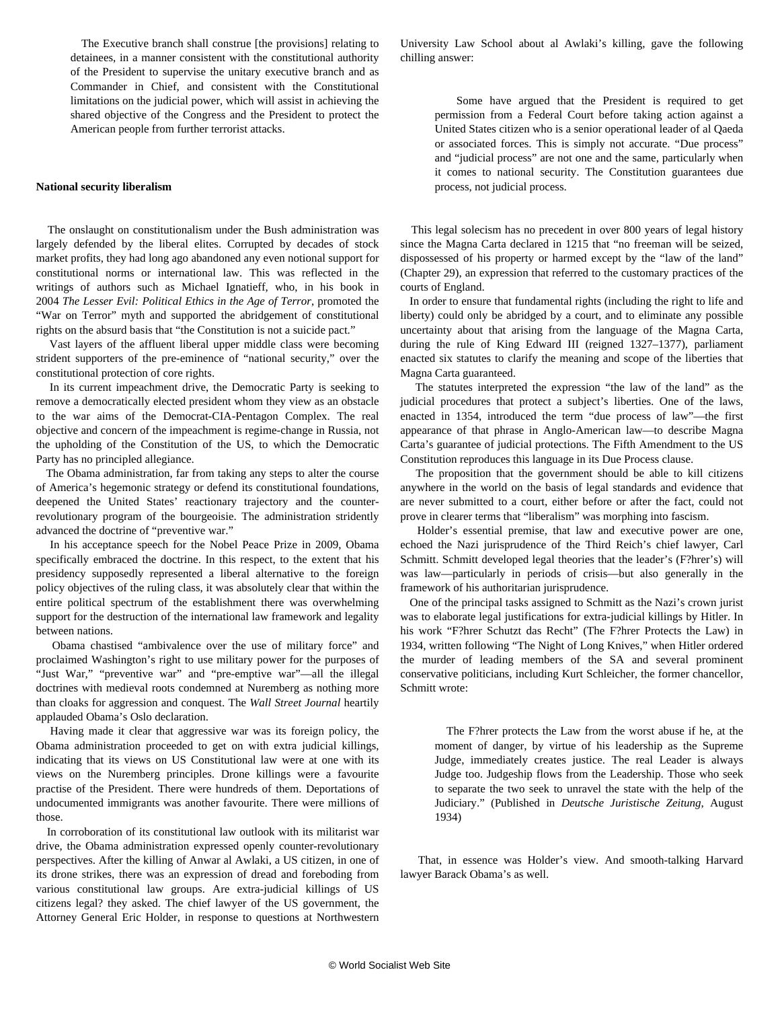The Executive branch shall construe [the provisions] relating to detainees, in a manner consistent with the constitutional authority of the President to supervise the unitary executive branch and as Commander in Chief, and consistent with the Constitutional limitations on the judicial power, which will assist in achieving the shared objective of the Congress and the President to protect the American people from further terrorist attacks.

#### **National security liberalism**

 The onslaught on constitutionalism under the Bush administration was largely defended by the liberal elites. Corrupted by decades of stock market profits, they had long ago abandoned any even notional support for constitutional norms or international law. This was reflected in the writings of authors such as Michael Ignatieff, who, in his book in 2004 *The Lesser Evil: Political Ethics in the Age of Terror*, promoted the "War on Terror" myth and supported the abridgement of constitutional rights on the absurd basis that "the Constitution is not a suicide pact."

 Vast layers of the affluent liberal upper middle class were becoming strident supporters of the pre-eminence of "national security," over the constitutional protection of core rights.

 In its current impeachment drive, the Democratic Party is seeking to remove a democratically elected president whom they view as an obstacle to the war aims of the Democrat-CIA-Pentagon Complex. The real objective and concern of the impeachment is regime-change in Russia, not the upholding of the Constitution of the US, to which the Democratic Party has no principled allegiance.

 The Obama administration, far from taking any steps to alter the course of America's hegemonic strategy or defend its constitutional foundations, deepened the United States' reactionary trajectory and the counterrevolutionary program of the bourgeoisie. The administration stridently advanced the doctrine of "preventive war."

 In his acceptance speech for the Nobel Peace Prize in 2009, Obama specifically embraced the doctrine. In this respect, to the extent that his presidency supposedly represented a liberal alternative to the foreign policy objectives of the ruling class, it was absolutely clear that within the entire political spectrum of the establishment there was overwhelming support for the destruction of the international law framework and legality between nations.

 Obama chastised "ambivalence over the use of military force" and proclaimed Washington's right to use military power for the purposes of "Just War," "preventive war" and "pre-emptive war"—all the illegal doctrines with medieval roots condemned at Nuremberg as nothing more than cloaks for aggression and conquest. The *Wall Street Journal* heartily applauded Obama's Oslo declaration.

 Having made it clear that aggressive war was its foreign policy, the Obama administration proceeded to get on with extra judicial killings, indicating that its views on US Constitutional law were at one with its views on the Nuremberg principles. Drone killings were a favourite practise of the President. There were hundreds of them. Deportations of undocumented immigrants was another favourite. There were millions of those.

 In corroboration of its constitutional law outlook with its militarist war drive, the Obama administration expressed openly counter-revolutionary perspectives. After the killing of Anwar al Awlaki, a US citizen, in one of its drone strikes, there was an expression of dread and foreboding from various constitutional law groups. Are extra-judicial killings of US citizens legal? they asked. The chief lawyer of the US government, the Attorney General Eric Holder, in response to questions at Northwestern

University Law School about al Awlaki's killing, gave the following chilling answer:

 Some have argued that the President is required to get permission from a Federal Court before taking action against a United States citizen who is a senior operational leader of al Qaeda or associated forces. This is simply not accurate. "Due process" and "judicial process" are not one and the same, particularly when it comes to national security. The Constitution guarantees due process, not judicial process.

 This legal solecism has no precedent in over 800 years of legal history since the Magna Carta declared in 1215 that "no freeman will be seized, dispossessed of his property or harmed except by the "law of the land" (Chapter 29), an expression that referred to the customary practices of the courts of England.

 In order to ensure that fundamental rights (including the right to life and liberty) could only be abridged by a court, and to eliminate any possible uncertainty about that arising from the language of the Magna Carta, during the rule of King Edward III (reigned 1327–1377), parliament enacted six statutes to clarify the meaning and scope of the liberties that Magna Carta guaranteed.

 The statutes interpreted the expression "the law of the land" as the judicial procedures that protect a subject's liberties. One of the laws, enacted in 1354, introduced the term "due process of law"—the first appearance of that phrase in Anglo-American law—to describe Magna Carta's guarantee of judicial protections. The Fifth Amendment to the US Constitution reproduces this language in its Due Process clause.

 The proposition that the government should be able to kill citizens anywhere in the world on the basis of legal standards and evidence that are never submitted to a court, either before or after the fact, could not prove in clearer terms that "liberalism" was morphing into fascism.

 Holder's essential premise, that law and executive power are one, echoed the Nazi jurisprudence of the Third Reich's chief lawyer, Carl Schmitt. Schmitt developed legal theories that the leader's (F?hrer's) will was law—particularly in periods of crisis—but also generally in the framework of his authoritarian jurisprudence.

 One of the principal tasks assigned to Schmitt as the Nazi's crown jurist was to elaborate legal justifications for extra-judicial killings by Hitler. In his work "F?hrer Schutzt das Recht" (The F?hrer Protects the Law) in 1934, written following "The Night of Long Knives," when Hitler ordered the murder of leading members of the SA and several prominent conservative politicians, including Kurt Schleicher, the former chancellor, Schmitt wrote:

 The F?hrer protects the Law from the worst abuse if he, at the moment of danger, by virtue of his leadership as the Supreme Judge, immediately creates justice. The real Leader is always Judge too. Judgeship flows from the Leadership. Those who seek to separate the two seek to unravel the state with the help of the Judiciary." (Published in *Deutsche Juristische Zeitung*, August 1934)

 That, in essence was Holder's view. And smooth-talking Harvard lawyer Barack Obama's as well.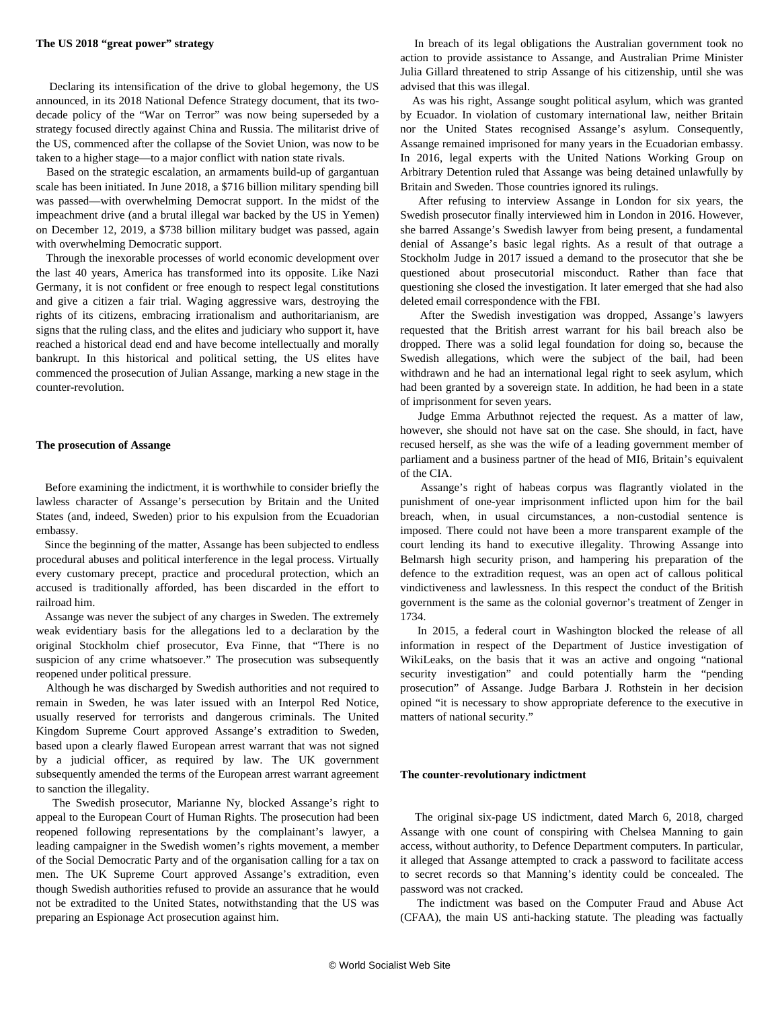Declaring its intensification of the drive to global hegemony, the US announced, in its 2018 National Defence Strategy document, that its twodecade policy of the "War on Terror" was now being superseded by a strategy focused directly against China and Russia. The militarist drive of the US, commenced after the collapse of the Soviet Union, was now to be taken to a higher stage—to a major conflict with nation state rivals.

 Based on the strategic escalation, an armaments build-up of gargantuan scale has been initiated. In June 2018, a \$716 billion military spending bill was passed—with overwhelming Democrat support. In the midst of the impeachment drive (and a brutal illegal war backed by the US in Yemen) on December 12, 2019, a \$738 billion military budget was passed, again with overwhelming Democratic support.

 Through the inexorable processes of world economic development over the last 40 years, America has transformed into its opposite. Like Nazi Germany, it is not confident or free enough to respect legal constitutions and give a citizen a fair trial. Waging aggressive wars, destroying the rights of its citizens, embracing irrationalism and authoritarianism, are signs that the ruling class, and the elites and judiciary who support it, have reached a historical dead end and have become intellectually and morally bankrupt. In this historical and political setting, the US elites have commenced the prosecution of Julian Assange, marking a new stage in the counter-revolution.

#### **The prosecution of Assange**

 Before examining the indictment, it is worthwhile to consider briefly the lawless character of Assange's persecution by Britain and the United States (and, indeed, Sweden) prior to his expulsion from the Ecuadorian embassy.

 Since the beginning of the matter, Assange has been subjected to endless procedural abuses and political interference in the legal process. Virtually every customary precept, practice and procedural protection, which an accused is traditionally afforded, has been discarded in the effort to railroad him.

 Assange was never the subject of any charges in Sweden. The extremely weak evidentiary basis for the allegations led to a declaration by the original Stockholm chief prosecutor, Eva Finne, that "There is no suspicion of any crime whatsoever." The prosecution was subsequently reopened under political pressure.

 Although he was discharged by Swedish authorities and not required to remain in Sweden, he was later issued with an Interpol Red Notice, usually reserved for terrorists and dangerous criminals. The United Kingdom Supreme Court approved Assange's extradition to Sweden, based upon a clearly flawed European arrest warrant that was not signed by a judicial officer, as required by law. The UK government subsequently amended the terms of the European arrest warrant agreement to sanction the illegality.

 The Swedish prosecutor, Marianne Ny, blocked Assange's right to appeal to the European Court of Human Rights. The prosecution had been reopened following representations by the complainant's lawyer, a leading campaigner in the Swedish women's rights movement, a member of the Social Democratic Party and of the organisation calling for a tax on men. The UK Supreme Court approved Assange's extradition, even though Swedish authorities refused to provide an assurance that he would not be extradited to the United States, notwithstanding that the US was preparing an Espionage Act prosecution against him.

 In breach of its legal obligations the Australian government took no action to provide assistance to Assange, and Australian Prime Minister Julia Gillard threatened to strip Assange of his citizenship, until she was advised that this was illegal.

 As was his right, Assange sought political asylum, which was granted by Ecuador. In violation of customary international law, neither Britain nor the United States recognised Assange's asylum. Consequently, Assange remained imprisoned for many years in the Ecuadorian embassy. In 2016, legal experts with the United Nations Working Group on Arbitrary Detention ruled that Assange was being detained unlawfully by Britain and Sweden. Those countries ignored its rulings.

 After refusing to interview Assange in London for six years, the Swedish prosecutor finally interviewed him in London in 2016. However, she barred Assange's Swedish lawyer from being present, a fundamental denial of Assange's basic legal rights. As a result of that outrage a Stockholm Judge in 2017 issued a demand to the prosecutor that she be questioned about prosecutorial misconduct. Rather than face that questioning she closed the investigation. It later emerged that she had also deleted email correspondence with the FBI.

 After the Swedish investigation was dropped, Assange's lawyers requested that the British arrest warrant for his bail breach also be dropped. There was a solid legal foundation for doing so, because the Swedish allegations, which were the subject of the bail, had been withdrawn and he had an international legal right to seek asylum, which had been granted by a sovereign state. In addition, he had been in a state of imprisonment for seven years.

 Judge Emma Arbuthnot rejected the request. As a matter of law, however, she should not have sat on the case. She should, in fact, have recused herself, as she was the wife of a leading government member of parliament and a business partner of the head of MI6, Britain's equivalent of the CIA.

 Assange's right of habeas corpus was flagrantly violated in the punishment of one-year imprisonment inflicted upon him for the bail breach, when, in usual circumstances, a non-custodial sentence is imposed. There could not have been a more transparent example of the court lending its hand to executive illegality. Throwing Assange into Belmarsh high security prison, and hampering his preparation of the defence to the extradition request, was an open act of callous political vindictiveness and lawlessness. In this respect the conduct of the British government is the same as the colonial governor's treatment of Zenger in 1734.

 In 2015, a federal court in Washington blocked the release of all information in respect of the Department of Justice investigation of WikiLeaks, on the basis that it was an active and ongoing "national security investigation" and could potentially harm the "pending prosecution" of Assange. Judge Barbara J. Rothstein in her decision opined "it is necessary to show appropriate deference to the executive in matters of national security."

## **The counter-revolutionary indictment**

 The original six-page US indictment, dated March 6, 2018, charged Assange with one count of conspiring with Chelsea Manning to gain access, without authority, to Defence Department computers. In particular, it alleged that Assange attempted to crack a password to facilitate access to secret records so that Manning's identity could be concealed. The password was not cracked.

 The indictment was based on the Computer Fraud and Abuse Act (CFAA), the main US anti-hacking statute. The pleading was factually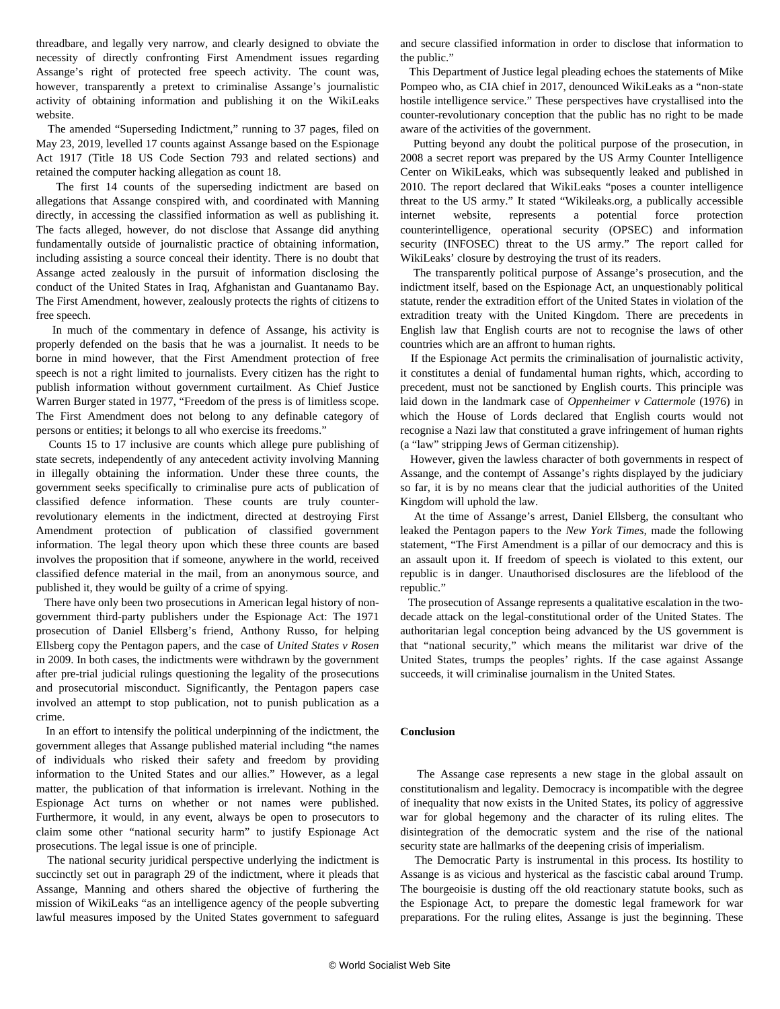threadbare, and legally very narrow, and clearly designed to obviate the necessity of directly confronting First Amendment issues regarding Assange's right of protected free speech activity. The count was, however, transparently a pretext to criminalise Assange's journalistic activity of obtaining information and publishing it on the WikiLeaks website.

 The amended "Superseding Indictment," running to 37 pages, filed on May 23, 2019, levelled 17 counts against Assange based on the Espionage Act 1917 (Title 18 US Code Section 793 and related sections) and retained the computer hacking allegation as count 18.

 The first 14 counts of the superseding indictment are based on allegations that Assange conspired with, and coordinated with Manning directly, in accessing the classified information as well as publishing it. The facts alleged, however, do not disclose that Assange did anything fundamentally outside of journalistic practice of obtaining information, including assisting a source conceal their identity. There is no doubt that Assange acted zealously in the pursuit of information disclosing the conduct of the United States in Iraq, Afghanistan and Guantanamo Bay. The First Amendment, however, zealously protects the rights of citizens to free speech.

 In much of the commentary in defence of Assange, his activity is properly defended on the basis that he was a journalist. It needs to be borne in mind however, that the First Amendment protection of free speech is not a right limited to journalists. Every citizen has the right to publish information without government curtailment. As Chief Justice Warren Burger stated in 1977, "Freedom of the press is of limitless scope. The First Amendment does not belong to any definable category of persons or entities; it belongs to all who exercise its freedoms."

 Counts 15 to 17 inclusive are counts which allege pure publishing of state secrets, independently of any antecedent activity involving Manning in illegally obtaining the information. Under these three counts, the government seeks specifically to criminalise pure acts of publication of classified defence information. These counts are truly counterrevolutionary elements in the indictment, directed at destroying First Amendment protection of publication of classified government information. The legal theory upon which these three counts are based involves the proposition that if someone, anywhere in the world, received classified defence material in the mail, from an anonymous source, and published it, they would be guilty of a crime of spying.

 There have only been two prosecutions in American legal history of nongovernment third-party publishers under the Espionage Act: The 1971 prosecution of Daniel Ellsberg's friend, Anthony Russo, for helping Ellsberg copy the Pentagon papers, and the case of *United States v Rosen* in 2009. In both cases, the indictments were withdrawn by the government after pre-trial judicial rulings questioning the legality of the prosecutions and prosecutorial misconduct. Significantly, the Pentagon papers case involved an attempt to stop publication, not to punish publication as a crime.

 In an effort to intensify the political underpinning of the indictment, the government alleges that Assange published material including "the names of individuals who risked their safety and freedom by providing information to the United States and our allies." However, as a legal matter, the publication of that information is irrelevant. Nothing in the Espionage Act turns on whether or not names were published. Furthermore, it would, in any event, always be open to prosecutors to claim some other "national security harm" to justify Espionage Act prosecutions. The legal issue is one of principle.

 The national security juridical perspective underlying the indictment is succinctly set out in paragraph 29 of the indictment, where it pleads that Assange, Manning and others shared the objective of furthering the mission of WikiLeaks "as an intelligence agency of the people subverting lawful measures imposed by the United States government to safeguard

and secure classified information in order to disclose that information to the public."

 This Department of Justice legal pleading echoes the statements of Mike Pompeo who, as CIA chief in 2017, denounced WikiLeaks as a "non-state hostile intelligence service." These perspectives have crystallised into the counter-revolutionary conception that the public has no right to be made aware of the activities of the government.

 Putting beyond any doubt the political purpose of the prosecution, in 2008 a secret report was prepared by the US Army Counter Intelligence Center on WikiLeaks, which was subsequently leaked and published in 2010. The report declared that WikiLeaks "poses a counter intelligence threat to the US army." It stated "Wikileaks.org, a publically accessible internet website, represents a potential force protection counterintelligence, operational security (OPSEC) and information security (INFOSEC) threat to the US army." The report called for WikiLeaks' closure by destroying the trust of its readers.

 The transparently political purpose of Assange's prosecution, and the indictment itself, based on the Espionage Act, an unquestionably political statute, render the extradition effort of the United States in violation of the extradition treaty with the United Kingdom. There are precedents in English law that English courts are not to recognise the laws of other countries which are an affront to human rights.

 If the Espionage Act permits the criminalisation of journalistic activity, it constitutes a denial of fundamental human rights, which, according to precedent, must not be sanctioned by English courts. This principle was laid down in the landmark case of *Oppenheimer v Cattermole* (1976) in which the House of Lords declared that English courts would not recognise a Nazi law that constituted a grave infringement of human rights (a "law" stripping Jews of German citizenship).

 However, given the lawless character of both governments in respect of Assange, and the contempt of Assange's rights displayed by the judiciary so far, it is by no means clear that the judicial authorities of the United Kingdom will uphold the law.

 At the time of Assange's arrest, Daniel Ellsberg, the consultant who leaked the Pentagon papers to the *New York Times,* made the following statement, "The First Amendment is a pillar of our democracy and this is an assault upon it. If freedom of speech is violated to this extent, our republic is in danger. Unauthorised disclosures are the lifeblood of the republic."

 The prosecution of Assange represents a qualitative escalation in the twodecade attack on the legal-constitutional order of the United States. The authoritarian legal conception being advanced by the US government is that "national security," which means the militarist war drive of the United States, trumps the peoples' rights. If the case against Assange succeeds, it will criminalise journalism in the United States.

# **Conclusion**

 The Assange case represents a new stage in the global assault on constitutionalism and legality. Democracy is incompatible with the degree of inequality that now exists in the United States, its policy of aggressive war for global hegemony and the character of its ruling elites. The disintegration of the democratic system and the rise of the national security state are hallmarks of the deepening crisis of imperialism.

 The Democratic Party is instrumental in this process. Its hostility to Assange is as vicious and hysterical as the fascistic cabal around Trump. The bourgeoisie is dusting off the old reactionary statute books, such as the Espionage Act, to prepare the domestic legal framework for war preparations. For the ruling elites, Assange is just the beginning. These